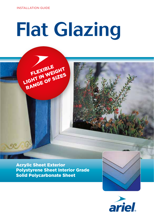FLEXIBLE<br>FLEXIBLE<br>LIGHT IN WE SIZES RANGE OF SIZES

# Flat Glazing

Acrylic Sheet Exterior Polystyrene Sheet Interior Grade Solid Polycarbonate Sheet



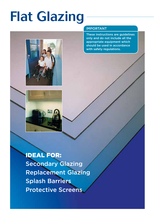## Flat Glazing



### IMPORTANT

These instructions are guidelines only and do not include all the appropriate equipment which should be used in accordance with safety regulations.

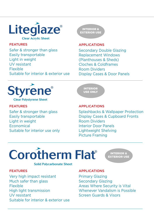

#### FEATURES

Safer & stronger than glass Easily transportable Light in weight UV resistant Flexible Suitable for interior & exterior use



APPLICATIONS

Secondary Double Glazing Replacement Windows (Planthouses & Sheds) Cloches & Coldframes Room Dividers Display Cases & Door Panels



Clear Polystyrene Sheet

#### FEATURES

Safer & stronger than glass Easily transportable Light in weight Economical Suitable for interior use only



#### APPLICATIONS

Splashbacks & Wallpaper Protection Display Cases & Cupboard Fronts Room Dividers Interior Door Panels Lightweight Shelving Picture Framing



INTERIOR & EXTERIOR USE

#### FEATURES

Very high impact resistant Much safer than glass Flexible High light transmission UV resistant Suitable for interior & exterior use

#### APPLICATIONS

Primary Glazing Secondary Glazing Areas Where Security is Vital Whenever Vandalism is Possible Screen Guards & Visors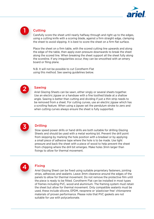

1

#### **Cutting**

Carefully score the sheet until nearly halfway through and right up to the edges, using a cutting knife with a scoring blade, against a firm straight edge, clamping the sheet to avoid slipping. It is best to score the sheet on a firm flat surface.

Place the sheet on a firm table, with the scored cutting line upwards and along the edge of the table, then apply even pressure downwards to break the sheet along the scored line. When breaking the sheet support all the sheet fully along the scoreline. If any irregularities occur, they can be smoothed with an emery board or filing plane.

N.B. It will not be possible to cut Corotherm Flat using this method. See sawing guidelines below.



#### Sawing

Ariel Glazing Sheets can be sawn, either singly or several sheets together. Use an electric jigsaw or a handsaw with a fine toothed blade at a shallow angle. Sawing is better than cutting and dividing if just a thin strip needs to be removed from a sheet. For cutting curves, use an electric jigsaw which has a scrolling feature. When using a jigsaw set the pendulum stroke to zero and when cutting curves always ensure the sheet is fully supported.



#### Drilling

Slow speed power drills or hand drills are both suitable for drilling Glazing Sheets and should be used with a metal working bit. Prevent the drill point from skipping by marking the hole position with a bradawl or by applying a small piece of adhesive tape where the hole is to be made. Use light pressure and back the sheet with a piece of wood to help prevent the sheet from chipping where the drill bit emerges. Make holes 3mm larger than fixings to allow for thermal movement.



#### Fixing

Ariel Glazing Sheet can be fixed using suitable proprietary fasteners, jointing strips, adhesives and sealants. Leave 3mm clearance around the edges of the panels to allow for thermal movement. Do not remove the protective film until the piece is ready to be fitted. Corotherm Flat can be installed in most types of frames including PVC, wood and aluminium. The framing system must retain the sheet but allow for thermal movement. Only compatible sealants must be used, these include silicone, EPDM, neoprene or 'plasticiser free' chloroprene materials of proven performance. Please note that PVC gaskets are not suitable for use with polycarbonate.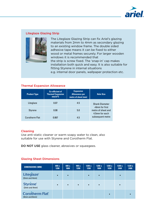

#### Liteglaze Glazing Strip



The Liteglaze Glazing Strip can fix Ariel's glazing materials from 2mm to 4mm as secondary glazing to an existing window frame. The double sided adhesive tape means it can be fixed to either wood or metal frames securely. For larger wooden windows it is recommended that the strip is screw fixed. The 'snap-in' cap makes installation both quick and easy. It is also suitable for fitting Styrene in internal situations e.g. internal door panels, wallpaper protection etc.

#### Thermal Expansion Allowance

| <b>Product Type</b> | <b>Co-efficient of</b><br><b>Thermal Expansion</b><br>$mm/m^{\circ}C$ | <b>Expansion</b><br><b>Allowance per</b><br>metre of sheet (mm) | <b>Hole Size</b>                                          |  |  |
|---------------------|-----------------------------------------------------------------------|-----------------------------------------------------------------|-----------------------------------------------------------|--|--|
| Liteglaze           | 0.07                                                                  | 4.5                                                             | <b>Shank Diameter</b>                                     |  |  |
| <b>Styrene</b>      | 0.08                                                                  | 5.0                                                             | $+6$ mm for first<br>metre of sheet and<br>4.5mm for each |  |  |
| Corotherm Flat      | 0.067                                                                 | 4.5                                                             | subsequent metre                                          |  |  |

#### Cleaning

Use anti-static cleaner or warm soapy water to clean, also suitable for use with Styrene and Corotherm Flat.

DO NOT USE glass cleaner, abrasives or squeegees.

#### Glazing Sheet Dimensions

| <b>DIMENSIONS (MM)</b>                       | 600 x<br>1200 | 600 x<br>1800 | 900x<br>1200 | 1200x<br>1200 | 1200 x<br>1800 | 1200x<br>1830 | 1200x<br>2400 | 1220 x<br>2400 |
|----------------------------------------------|---------------|---------------|--------------|---------------|----------------|---------------|---------------|----------------|
| Liteglaze <sup>®</sup><br>(2mm and 4mm)      | $\bullet$     | $\bullet$     |              | $\bullet$     | $\bullet$      |               | $\bullet$     |                |
| <b>Styrene</b> <sup>*</sup><br>(2mm and 4mm) | $\bullet$     | $\bullet$     | $\bullet$    | $\bullet$     | $\bullet$      |               | $\bullet$     |                |
| <b>Corotherm Flat</b><br>(4mm and 6mm)       |               |               |              |               |                | $\bullet$     |               |                |